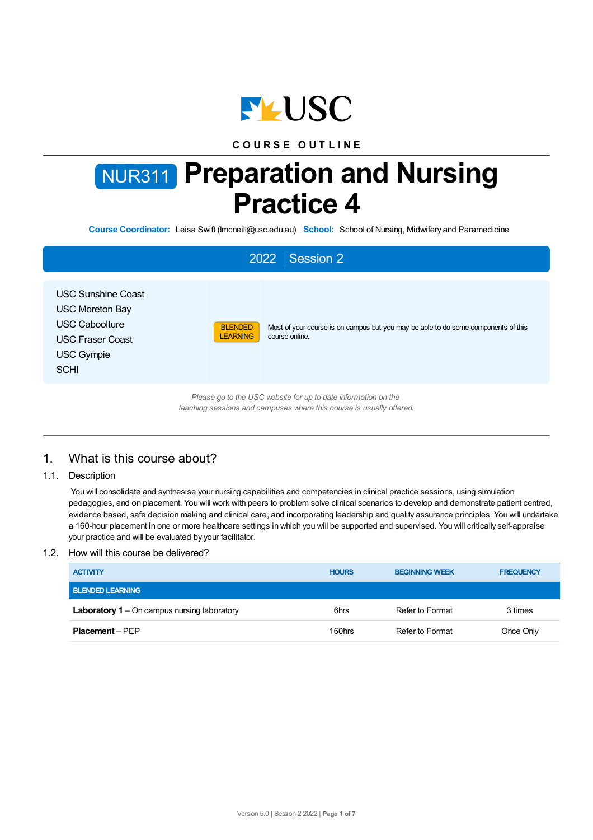

# **C O U R S E O U T L I N E**

# NUR311 **Preparation and Nursing Practice 4**

**Course Coordinator:** Leisa Swift (lmcneill@usc.edu.au) **School:** School of Nursing, Midwifery and Paramedicine

# 2022 Session 2 USC Sunshine Coast USC Moreton Bay USC Caboolture USC Fraser Coast USC Gympie **SCHI** BLENDED **LEARNING** Most of your course is on campus but you may be able to do some components of this course online.

*Please go to the USC website for up to date information on the teaching sessions and campuses where this course is usually offered.*

# 1. What is this course about?

1.1. Description

You will consolidate and synthesise your nursing capabilities and competencies in clinical practice sessions, using simulation pedagogies, and on placement. You will work with peers to problem solve clinical scenarios to develop and demonstrate patient centred, evidence based, safe decision making and clinical care, and incorporating leadership and quality assurance principles. You will undertake a 160-hour placement in one or more healthcare settings in which you will be supported and supervised. You will critically self-appraise your practice and will be evaluated by your facilitator.

# 1.2. How will this course be delivered?

| <b>ACTIVITY</b>                                    | <b>HOURS</b> | <b>BEGINNING WEEK</b> | <b>FREQUENCY</b> |
|----------------------------------------------------|--------------|-----------------------|------------------|
| <b>BLENDED LEARNING</b>                            |              |                       |                  |
| <b>Laboratory 1</b> – On campus nursing laboratory | 6hrs         | Refer to Format       | 3 times          |
| <b>Placement – PFP</b>                             | 160hrs       | Refer to Format       | Once Only        |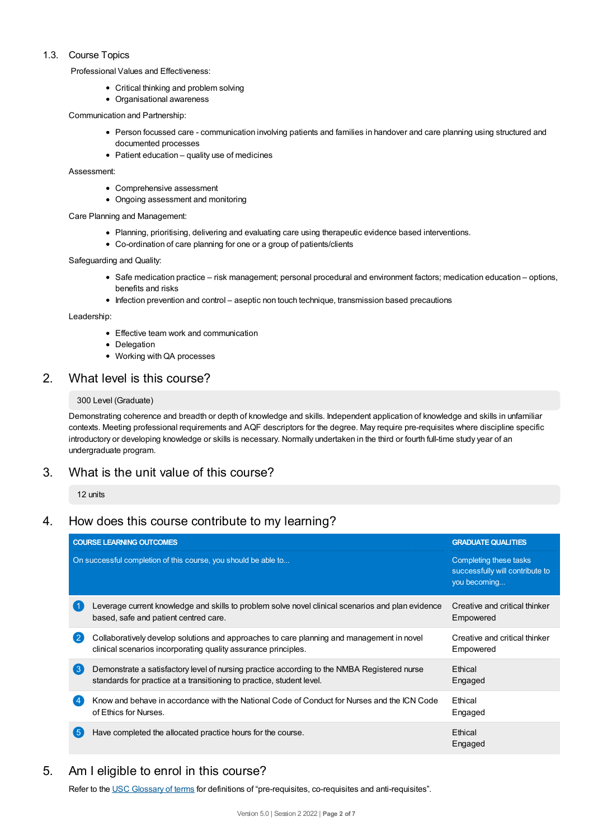# 1.3. Course Topics

Professional Values and Effectiveness:

- Critical thinking and problem solving
- Organisational awareness

Communication and Partnership:

- Person focussed care communication involving patients and families in handover and care planning using structured and documented processes
- $\bullet$  Patient education quality use of medicines

Assessment:

- Comprehensive assessment
- Ongoing assessment and monitoring

Care Planning and Management:

- Planning, prioritising, delivering and evaluating care using therapeutic evidence based interventions.
- Co-ordination of care planning for one or a group of patients/clients

Safeguarding and Quality:

- Safe medication practice risk management; personal procedural and environment factors; medication education options, benefits and risks
- Infection prevention and control aseptic non touch technique, transmission based precautions

Leadership:

- Effective team work and communication
- Delegation
- Working with QA processes

# 2. What level is this course?

### 300 Level (Graduate)

Demonstrating coherence and breadth or depth of knowledge and skills. Independent application of knowledge and skills in unfamiliar contexts. Meeting professional requirements and AQF descriptors for the degree. May require pre-requisites where discipline specific introductory or developing knowledge or skills is necessary. Normally undertaken in the third or fourth full-time study year of an undergraduate program.

# 3. What is the unit value of this course?

12 units

# 4. How does this course contribute to my learning?

|                  | <b>COURSE LEARNING OUTCOMES</b>                                                                                                                                      | <b>GRADUATE QUALITIES</b>                                                 |
|------------------|----------------------------------------------------------------------------------------------------------------------------------------------------------------------|---------------------------------------------------------------------------|
|                  | On successful completion of this course, you should be able to                                                                                                       | Completing these tasks<br>successfully will contribute to<br>you becoming |
|                  | Leverage current knowledge and skills to problem solve novel clinical scenarios and plan evidence<br>based, safe and patient centred care.                           | Creative and critical thinker<br>Empowered                                |
|                  | Collaboratively develop solutions and approaches to care planning and management in novel<br>clinical scenarios incorporating quality assurance principles.          | Creative and critical thinker<br>Empowered                                |
| $\left(3\right)$ | Demonstrate a satisfactory level of nursing practice according to the NMBA Registered nurse<br>standards for practice at a transitioning to practice, student level. | Ethical<br>Engaged                                                        |
|                  | Know and behave in accordance with the National Code of Conduct for Nurses and the ICN Code<br>of Ethics for Nurses.                                                 | Ethical<br>Engaged                                                        |
| 5                | Have completed the allocated practice hours for the course.                                                                                                          | Ethical<br>Engaged                                                        |

# 5. Am Ieligible to enrol in this course?

Refer to the USC [Glossary](https://www.usc.edu.au/about/policies-and-procedures/glossary-of-terms-for-policy-and-procedures) of terms for definitions of "pre-requisites, co-requisites and anti-requisites".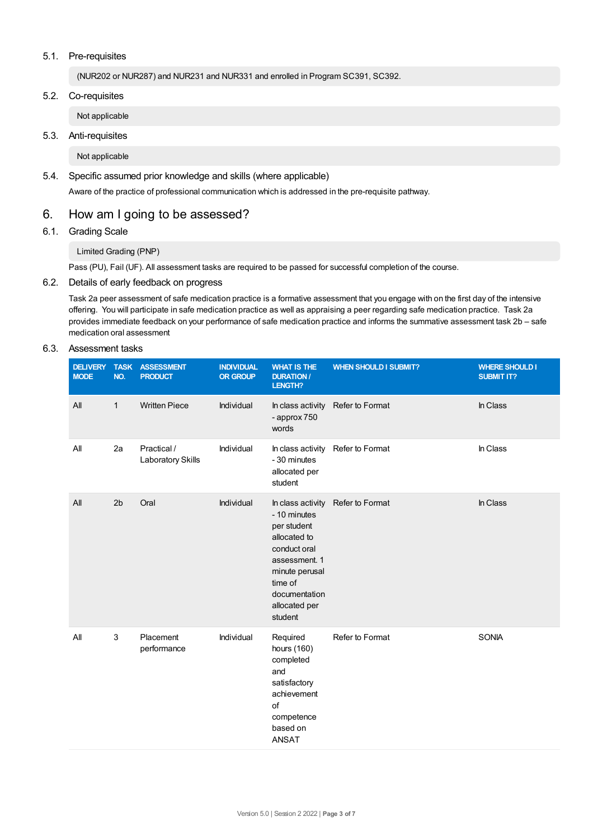# 5.1. Pre-requisites

(NUR202 or NUR287) and NUR231 and NUR331 and enrolled in Program SC391, SC392.

5.2. Co-requisites

Not applicable

5.3. Anti-requisites

Not applicable

5.4. Specific assumed prior knowledge and skills (where applicable)

Aware of the practice of professional communication which is addressed in the pre-requisite pathway.

# 6. How am Igoing to be assessed?

6.1. Grading Scale

# Limited Grading (PNP)

Pass (PU), Fail (UF). All assessment tasks are required to be passed for successful completion of the course.

# 6.2. Details of early feedback on progress

Task 2a peer assessment of safe medication practice is a formative assessment that you engage with on the first day of the intensive offering. You will participate in safe medication practice as well as appraising a peer regarding safe medication practice. Task 2a provides immediate feedback on your performance of safe medication practice and informs the summative assessment task 2b – safe medication oral assessment

# 6.3. Assessment tasks

| <b>DELIVERY</b><br><b>MODE</b> | <b>TASK</b><br>NO. | <b>ASSESSMENT</b><br><b>PRODUCT</b> | <b>INDIVIDUAL</b><br><b>OR GROUP</b> | <b>WHAT IS THE</b><br><b>DURATION /</b><br>LENGTH?                                                                                                     | <b>WHEN SHOULD I SUBMIT?</b>      | <b>WHERE SHOULD I</b><br><b>SUBMIT IT?</b> |
|--------------------------------|--------------------|-------------------------------------|--------------------------------------|--------------------------------------------------------------------------------------------------------------------------------------------------------|-----------------------------------|--------------------------------------------|
| All                            | $\mathbf{1}$       | <b>Written Piece</b>                | Individual                           | In class activity<br>- approx 750<br>words                                                                                                             | Refer to Format                   | In Class                                   |
| All                            | 2a                 | Practical /<br>Laboratory Skills    | Individual                           | - 30 minutes<br>allocated per<br>student                                                                                                               | In class activity Refer to Format | In Class                                   |
| All                            | 2 <sub>b</sub>     | Oral                                | Individual                           | - 10 minutes<br>per student<br>allocated to<br>conduct oral<br>assessment. 1<br>minute perusal<br>time of<br>documentation<br>allocated per<br>student | In class activity Refer to Format | In Class                                   |
| All                            | 3                  | Placement<br>performance            | Individual                           | Required<br>hours (160)<br>completed<br>and<br>satisfactory<br>achievement<br>of<br>competence<br>based on<br><b>ANSAT</b>                             | Refer to Format                   | SONIA                                      |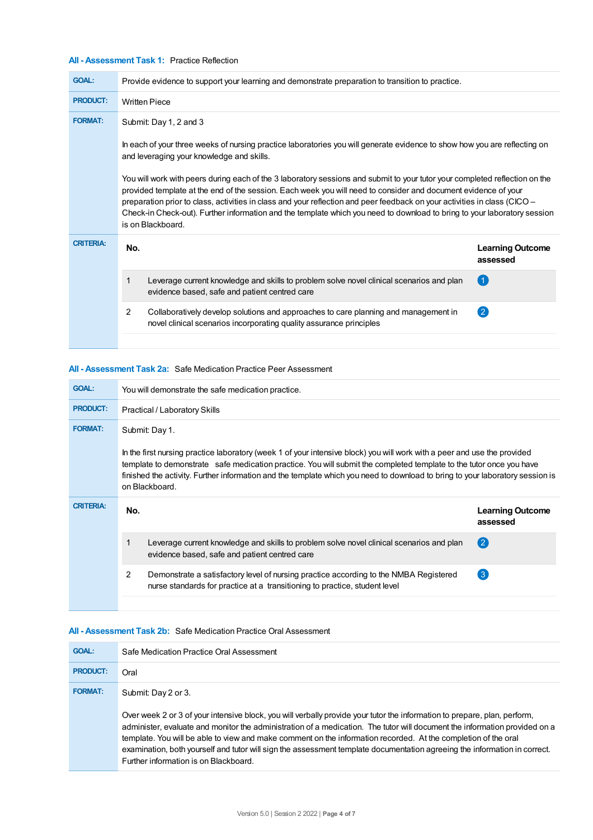# **All - Assessment Task 1:** Practice Reflection

| <b>GOAL:</b>                                                                                                                                                                                                                                                                                                                                                                                                                                                                                                                | Provide evidence to support your learning and demonstrate preparation to transition to practice.                                                                       |                                     |  |  |  |  |
|-----------------------------------------------------------------------------------------------------------------------------------------------------------------------------------------------------------------------------------------------------------------------------------------------------------------------------------------------------------------------------------------------------------------------------------------------------------------------------------------------------------------------------|------------------------------------------------------------------------------------------------------------------------------------------------------------------------|-------------------------------------|--|--|--|--|
| <b>PRODUCT:</b>                                                                                                                                                                                                                                                                                                                                                                                                                                                                                                             | <b>Written Piece</b>                                                                                                                                                   |                                     |  |  |  |  |
| <b>FORMAT:</b>                                                                                                                                                                                                                                                                                                                                                                                                                                                                                                              | Submit: Day 1, 2 and 3                                                                                                                                                 |                                     |  |  |  |  |
|                                                                                                                                                                                                                                                                                                                                                                                                                                                                                                                             | In each of your three weeks of nursing practice laboratories you will generate evidence to show how you are reflecting on<br>and leveraging your knowledge and skills. |                                     |  |  |  |  |
| You will work with peers during each of the 3 laboratory sessions and submit to your tutor your completed reflection on the<br>provided template at the end of the session. Each week you will need to consider and document evidence of your<br>preparation prior to class, activities in class and your reflection and peer feedback on your activities in class (CICO –<br>Check-in Check-out). Further information and the template which you need to download to bring to your laboratory session<br>is on Blackboard. |                                                                                                                                                                        |                                     |  |  |  |  |
|                                                                                                                                                                                                                                                                                                                                                                                                                                                                                                                             |                                                                                                                                                                        |                                     |  |  |  |  |
| <b>CRITERIA:</b>                                                                                                                                                                                                                                                                                                                                                                                                                                                                                                            | No.                                                                                                                                                                    | <b>Learning Outcome</b><br>assessed |  |  |  |  |
|                                                                                                                                                                                                                                                                                                                                                                                                                                                                                                                             | Leverage current knowledge and skills to problem solve novel clinical scenarios and plan<br>evidence based, safe and patient centred care                              | (1)                                 |  |  |  |  |
|                                                                                                                                                                                                                                                                                                                                                                                                                                                                                                                             | 2<br>Collaboratively develop solutions and approaches to care planning and management in<br>novel clinical scenarios incorporating quality assurance principles        | $\left( 2 \right)$                  |  |  |  |  |

# **All - Assessment Task 2a:** Safe Medication Practice Peer Assessment

| <b>GOAL:</b>     | You will demonstrate the safe medication practice.                                                                                                                                                                                                                                                                                                                                                                   |                                                                                                                                                                     |                                     |  |  |  |
|------------------|----------------------------------------------------------------------------------------------------------------------------------------------------------------------------------------------------------------------------------------------------------------------------------------------------------------------------------------------------------------------------------------------------------------------|---------------------------------------------------------------------------------------------------------------------------------------------------------------------|-------------------------------------|--|--|--|
| <b>PRODUCT:</b>  | Practical / Laboratory Skills                                                                                                                                                                                                                                                                                                                                                                                        |                                                                                                                                                                     |                                     |  |  |  |
| <b>FORMAT:</b>   | Submit: Day 1.<br>In the first nursing practice laboratory (week 1 of your intensive block) you will work with a peer and use the provided<br>template to demonstrate safe medication practice. You will submit the completed template to the tutor once you have<br>finished the activity. Further information and the template which you need to download to bring to your laboratory session is<br>on Blackboard. |                                                                                                                                                                     |                                     |  |  |  |
| <b>CRITERIA:</b> | No.                                                                                                                                                                                                                                                                                                                                                                                                                  |                                                                                                                                                                     | <b>Learning Outcome</b><br>assessed |  |  |  |
|                  |                                                                                                                                                                                                                                                                                                                                                                                                                      | Leverage current knowledge and skills to problem solve novel clinical scenarios and plan<br>evidence based, safe and patient centred care                           | $\left( 2\right)$                   |  |  |  |
|                  | 2                                                                                                                                                                                                                                                                                                                                                                                                                    | Demonstrate a satisfactory level of nursing practice according to the NMBA Registered<br>nurse standards for practice at a transitioning to practice, student level | $\left(3\right)$                    |  |  |  |
|                  |                                                                                                                                                                                                                                                                                                                                                                                                                      |                                                                                                                                                                     |                                     |  |  |  |

# **All - Assessment Task 2b:** Safe Medication Practice Oral Assessment

| <b>GOAL:</b>    | Safe Medication Practice Oral Assessment                                                                                                                                                                                                                                                                                                                                                                                                                                                                                                        |
|-----------------|-------------------------------------------------------------------------------------------------------------------------------------------------------------------------------------------------------------------------------------------------------------------------------------------------------------------------------------------------------------------------------------------------------------------------------------------------------------------------------------------------------------------------------------------------|
| <b>PRODUCT:</b> | Oral                                                                                                                                                                                                                                                                                                                                                                                                                                                                                                                                            |
| <b>FORMAT:</b>  | Submit: Day 2 or 3.                                                                                                                                                                                                                                                                                                                                                                                                                                                                                                                             |
|                 | Over week 2 or 3 of your intensive block, you will verbally provide your tutor the information to prepare, plan, perform,<br>administer, evaluate and monitor the administration of a medication. The tutor will document the information provided on a<br>template. You will be able to view and make comment on the information recorded. At the completion of the oral<br>examination, both yourself and tutor will sign the assessment template documentation agreeing the information in correct.<br>Further information is on Blackboard. |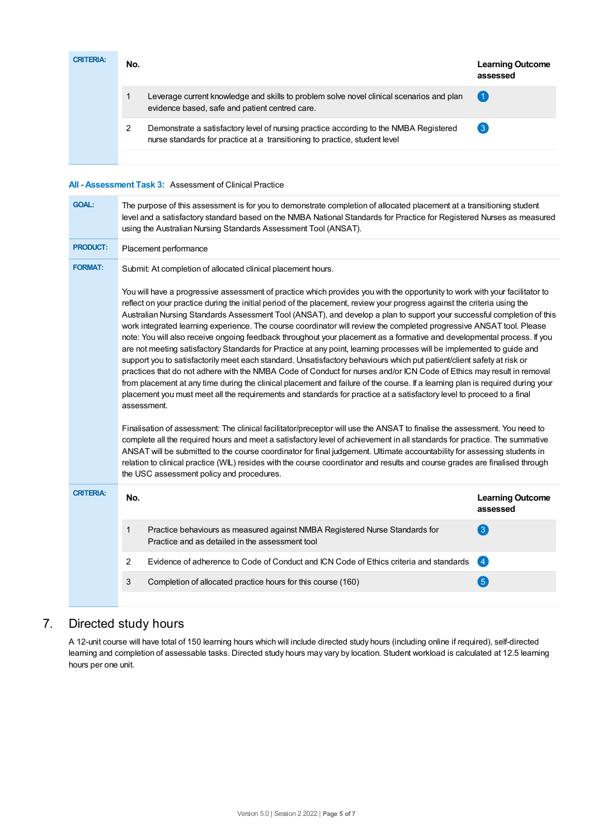| <b>CRITERIA:</b> | No. |                                                                                                                                                                     | <b>Learning Outcome</b><br>assessed |
|------------------|-----|---------------------------------------------------------------------------------------------------------------------------------------------------------------------|-------------------------------------|
|                  |     | Leverage current knowledge and skills to problem solve novel clinical scenarios and plan<br>evidence based, safe and patient centred care.                          | (1)                                 |
|                  |     | Demonstrate a satisfactory level of nursing practice according to the NMBA Registered<br>nurse standards for practice at a transitioning to practice, student level | 3                                   |

# **All - Assessment Task 3:** Assessment of Clinical Practice

| <b>GOAL:</b>     | The purpose of this assessment is for you to demonstrate completion of allocated placement at a transitioning student<br>level and a satisfactory standard based on the NMBA National Standards for Practice for Registered Nurses as measured<br>using the Australian Nursing Standards Assessment Tool (ANSAT).                                                                                                                                                                                                                                                                                                                                                                                                                                                                                                                                                                                                                                                                                                                                                                                                                                                                                                                                                                                                                                                                                                                                                                                                                                                                                                                                                                                                                                                                                                                                            |                                                                                                                                |                                     |  |  |  |  |
|------------------|--------------------------------------------------------------------------------------------------------------------------------------------------------------------------------------------------------------------------------------------------------------------------------------------------------------------------------------------------------------------------------------------------------------------------------------------------------------------------------------------------------------------------------------------------------------------------------------------------------------------------------------------------------------------------------------------------------------------------------------------------------------------------------------------------------------------------------------------------------------------------------------------------------------------------------------------------------------------------------------------------------------------------------------------------------------------------------------------------------------------------------------------------------------------------------------------------------------------------------------------------------------------------------------------------------------------------------------------------------------------------------------------------------------------------------------------------------------------------------------------------------------------------------------------------------------------------------------------------------------------------------------------------------------------------------------------------------------------------------------------------------------------------------------------------------------------------------------------------------------|--------------------------------------------------------------------------------------------------------------------------------|-------------------------------------|--|--|--|--|
| <b>PRODUCT:</b>  | Placement performance                                                                                                                                                                                                                                                                                                                                                                                                                                                                                                                                                                                                                                                                                                                                                                                                                                                                                                                                                                                                                                                                                                                                                                                                                                                                                                                                                                                                                                                                                                                                                                                                                                                                                                                                                                                                                                        |                                                                                                                                |                                     |  |  |  |  |
| <b>FORMAT:</b>   | Submit: At completion of allocated clinical placement hours.                                                                                                                                                                                                                                                                                                                                                                                                                                                                                                                                                                                                                                                                                                                                                                                                                                                                                                                                                                                                                                                                                                                                                                                                                                                                                                                                                                                                                                                                                                                                                                                                                                                                                                                                                                                                 |                                                                                                                                |                                     |  |  |  |  |
|                  | You will have a progressive assessment of practice which provides you with the opportunity to work with your facilitator to<br>reflect on your practice during the initial period of the placement, review your progress against the criteria using the<br>Australian Nursing Standards Assessment Tool (ANSAT), and develop a plan to support your successful completion of this<br>work integrated learning experience. The course coordinator will review the completed progressive ANSAT tool. Please<br>note: You will also receive ongoing feedback throughout your placement as a formative and developmental process. If you<br>are not meeting satisfactory Standards for Practice at any point, learning processes will be implemented to guide and<br>support you to satisfactorily meet each standard. Unsatisfactory behaviours which put patient/client safety at risk or<br>practices that do not adhere with the NMBA Code of Conduct for nurses and/or ICN Code of Ethics may result in removal<br>from placement at any time during the clinical placement and failure of the course. If a learning plan is required during your<br>placement you must meet all the requirements and standards for practice at a satisfactory level to proceed to a final<br>assessment.<br>Finalisation of assessment: The clinical facilitator/preceptor will use the ANSAT to finalise the assessment. You need to<br>complete all the required hours and meet a satisfactory level of achievement in all standards for practice. The summative<br>ANSAT will be submitted to the course coordinator for final judgement. Ultimate accountability for assessing students in<br>relation to clinical practice (WIL) resides with the course coordinator and results and course grades are finalised through<br>the USC assessment policy and procedures. |                                                                                                                                |                                     |  |  |  |  |
| <b>CRITERIA:</b> | No.                                                                                                                                                                                                                                                                                                                                                                                                                                                                                                                                                                                                                                                                                                                                                                                                                                                                                                                                                                                                                                                                                                                                                                                                                                                                                                                                                                                                                                                                                                                                                                                                                                                                                                                                                                                                                                                          |                                                                                                                                | <b>Learning Outcome</b><br>assessed |  |  |  |  |
|                  | 1                                                                                                                                                                                                                                                                                                                                                                                                                                                                                                                                                                                                                                                                                                                                                                                                                                                                                                                                                                                                                                                                                                                                                                                                                                                                                                                                                                                                                                                                                                                                                                                                                                                                                                                                                                                                                                                            | Practice behaviours as measured against NMBA Registered Nurse Standards for<br>Practice and as detailed in the assessment tool | $\left(3\right)$                    |  |  |  |  |
|                  | $\overline{2}$                                                                                                                                                                                                                                                                                                                                                                                                                                                                                                                                                                                                                                                                                                                                                                                                                                                                                                                                                                                                                                                                                                                                                                                                                                                                                                                                                                                                                                                                                                                                                                                                                                                                                                                                                                                                                                               | Evidence of adherence to Code of Conduct and ICN Code of Ethics criteria and standards                                         | $\overline{\mathbf{A}}$             |  |  |  |  |
|                  | 3                                                                                                                                                                                                                                                                                                                                                                                                                                                                                                                                                                                                                                                                                                                                                                                                                                                                                                                                                                                                                                                                                                                                                                                                                                                                                                                                                                                                                                                                                                                                                                                                                                                                                                                                                                                                                                                            | Completion of allocated practice hours for this course (160)                                                                   | $\left(5\right)$                    |  |  |  |  |
|                  |                                                                                                                                                                                                                                                                                                                                                                                                                                                                                                                                                                                                                                                                                                                                                                                                                                                                                                                                                                                                                                                                                                                                                                                                                                                                                                                                                                                                                                                                                                                                                                                                                                                                                                                                                                                                                                                              |                                                                                                                                |                                     |  |  |  |  |

# 7. Directed study hours

A 12-unit course will have total of 150 learning hours which will include directed study hours (including online if required), self-directed learning and completion of assessable tasks. Directed study hours may vary by location. Student workload is calculated at 12.5 learning hours per one unit.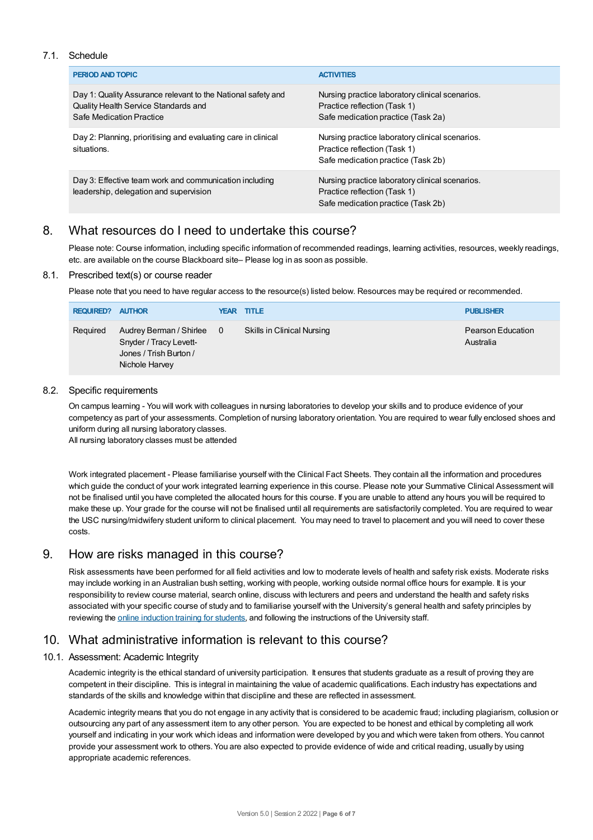### 7.1. Schedule

| PERIOD AND TOPIC                                                                                                                 | <b>ACTIVITIES</b>                                                                                                     |
|----------------------------------------------------------------------------------------------------------------------------------|-----------------------------------------------------------------------------------------------------------------------|
| Day 1: Quality Assurance relevant to the National safety and<br>Quality Health Service Standards and<br>Safe Medication Practice | Nursing practice laboratory clinical scenarios.<br>Practice reflection (Task 1)<br>Safe medication practice (Task 2a) |
| Day 2: Planning, prioritising and evaluating care in clinical<br>situations.                                                     | Nursing practice laboratory clinical scenarios.<br>Practice reflection (Task 1)<br>Safe medication practice (Task 2b) |
| Day 3: Effective team work and communication including<br>leadership, delegation and supervision                                 | Nursing practice laboratory clinical scenarios.<br>Practice reflection (Task 1)<br>Safe medication practice (Task 2b) |

# 8. What resources do I need to undertake this course?

Please note: Course information, including specific information of recommended readings, learning activities, resources, weekly readings, etc. are available on the course Blackboard site– Please log in as soon as possible.

### 8.1. Prescribed text(s) or course reader

Please note that you need to have regular access to the resource(s) listed below. Resources may be required or recommended.

| <b>REQUIRED? AUTHOR</b> |                                                                                                 | <b>YEAR TITLE</b>          | <b>PUBLISHER</b>               |
|-------------------------|-------------------------------------------------------------------------------------------------|----------------------------|--------------------------------|
| Required                | Audrey Berman / Shirlee 0<br>Snyder / Tracy Levett-<br>Jones / Trish Burton /<br>Nichole Harvey | Skills in Clinical Nursing | Pearson Education<br>Australia |

### 8.2. Specific requirements

On campus learning - You will work with colleagues in nursing laboratories to develop your skills and to produce evidence of your competency as part of your assessments. Completion of nursing laboratory orientation. You are required to wear fully enclosed shoes and uniform during all nursing laboratory classes.

All nursing laboratory classes must be attended

Work integrated placement - Please familiarise yourself with the Clinical Fact Sheets. They contain all the information and procedures which guide the conduct of your work integrated learning experience in this course. Please note your Summative Clinical Assessment will not be finalised until you have completed the allocated hours for this course. If you are unable to attend any hours you will be required to make these up. Your grade for the course will not be finalised until all requirements are satisfactorily completed. You are required to wear the USC nursing/midwifery student uniform to clinical placement. You may need to travel to placement and you will need to cover these costs.

# 9. How are risks managed in this course?

Risk assessments have been performed for all field activities and low to moderate levels of health and safety risk exists. Moderate risks may include working in an Australian bush setting, working with people, working outside normal office hours for example. It is your responsibility to review course material, search online, discuss with lecturers and peers and understand the health and safety risks associated with your specific course of study and to familiarise yourself with the University's general health and safety principles by reviewing the online [induction](https://online.usc.edu.au/webapps/blackboard/content/listContentEditable.jsp?content_id=_632657_1&course_id=_14432_1) training for students, and following the instructions of the University staff.

# 10. What administrative information is relevant to this course?

# 10.1. Assessment: Academic Integrity

Academic integrity is the ethical standard of university participation. It ensures that students graduate as a result of proving they are competent in their discipline. This is integral in maintaining the value of academic qualifications. Each industry has expectations and standards of the skills and knowledge within that discipline and these are reflected in assessment.

Academic integrity means that you do not engage in any activity that is considered to be academic fraud; including plagiarism, collusion or outsourcing any part of any assessment item to any other person. You are expected to be honest and ethical by completing all work yourself and indicating in your work which ideas and information were developed by you and which were taken from others. You cannot provide your assessment work to others. You are also expected to provide evidence of wide and critical reading, usually by using appropriate academic references.